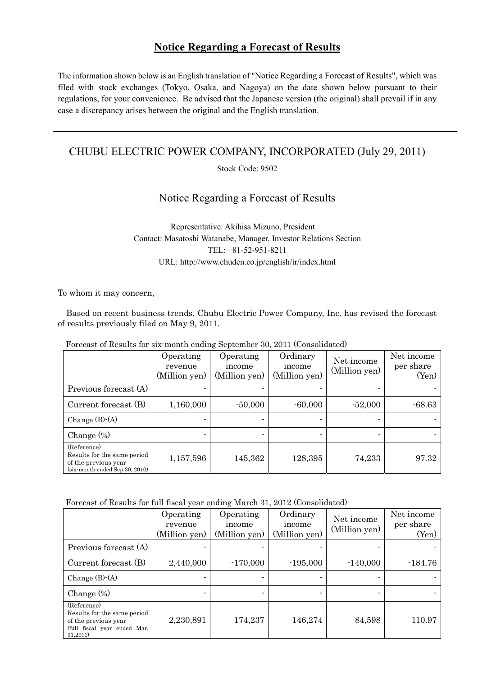## **Notice Regarding a Forecast of Results**

The information shown below is an English translation of "Notice Regarding a Forecast of Results", which was filed with stock exchanges (Tokyo, Osaka, and Nagoya) on the date shown below pursuant to their regulations, for your convenience. Be advised that the Japanese version (the original) shall prevail if in any case a discrepancy arises between the original and the English translation.

## CHUBU ELECTRIC POWER COMPANY, INCORPORATED (July 29, 2011)

Stock Code: 9502

## Notice Regarding a Forecast of Results

Representative: Akihisa Mizuno, President Contact: Masatoshi Watanabe, Manager, Investor Relations Section TEL: +81-52-951-8211 URL: http://www.chuden.co.jp/english/ir/index.html

To whom it may concern,

Based on recent business trends, Chubu Electric Power Company, Inc. has revised the forecast of results previously filed on May 9, 2011.

Forecast of Results for six-month ending September 30, 2011 (Consolidated)

|                                                                                                          | Operating<br>revenue<br>(Million yen) | Operating<br>income<br>(Million yen) | Ordinary<br>income<br>(Million yen) | Net income<br>(Million yen) | Net income<br>per share<br>(Yen) |
|----------------------------------------------------------------------------------------------------------|---------------------------------------|--------------------------------------|-------------------------------------|-----------------------------|----------------------------------|
| Previous forecast (A)                                                                                    |                                       |                                      |                                     |                             |                                  |
| Current forecast (B)                                                                                     | 1,160,000                             | $-50,000$                            | $-60,000$                           | $-52,000$                   | $-68.63$                         |
| Change $(B)$ - $(A)$                                                                                     |                                       |                                      |                                     |                             |                                  |
| Change $(\%)$                                                                                            |                                       |                                      |                                     |                             |                                  |
| (Reference)<br>Results for the same period<br>of the previous year<br>$(six$ -month ended Sep. 30, 2010) | 1,157,596                             | 145,362                              | 128,395                             | 74,233                      | 97.32                            |

Forecast of Results for full fiscal year ending March 31, 2012 (Consolidated)

|                                                                                                                | Operating<br>revenue<br>(Million yen) | Operating<br>income<br>(Million yen) | Ordinary<br>income<br>(Million yen) | Net income<br>(Million yen) | Net income<br>per share<br>(Yen) |
|----------------------------------------------------------------------------------------------------------------|---------------------------------------|--------------------------------------|-------------------------------------|-----------------------------|----------------------------------|
| Previous forecast (A)                                                                                          |                                       |                                      |                                     |                             |                                  |
| Current forecast (B)                                                                                           | 2,440,000                             | $-170,000$                           | $-195,000$                          | $-140,000$                  | $-184.76$                        |
| Change $(B)$ - $(A)$                                                                                           | ۰                                     |                                      |                                     |                             |                                  |
| Change $(\%)$                                                                                                  |                                       |                                      |                                     |                             |                                  |
| (Reference)<br>Results for the same period<br>of the previous year<br>(full fiscal year ended Mar.<br>31,2011) | 2,230,891                             | 174,237                              | 146,274                             | 84,598                      | 110.97                           |